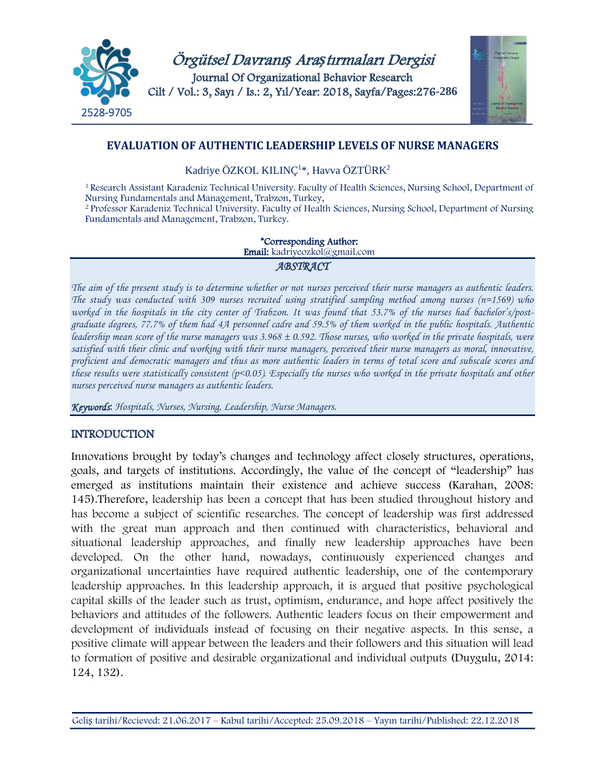



# **EVALUATION OF AUTHENTIC LEADERSHIP LEVELS OF NURSE MANAGERS**

Kadriye ÖZKOL KILINÇ<sup>1</sup>\*, Havva ÖZTÜRK<sup>2</sup>

1 Research Assistant Karadeniz Technical University. Faculty of Health Sciences, Nursing School, Department of Nursing Fundamentals and Management, Trabzon, Turkey,

<sup>2</sup>Professor Karadeniz Technical University. Faculty of Health Sciences, Nursing School, Department of Nursing Fundamentals and Management, Trabzon, Turkey.

# \*Corresponding Author:

Email: kadriyeozkol@gmail.com

#### *ABSTRACT*

*The aim of the present study is to determine whether or not nurses perceived their nurse managers as authentic leaders. The study was conducted with 309 nurses recruited using stratified sampling method among nurses (n=1569) who worked in the hospitals in the city center of Trabzon. It was found that 53.7% of the nurses had bachelor's/postgraduate degrees, 77.7% of them had 4A personnel cadre and 59.5% of them worked in the public hospitals. Authentic leadership mean score of the nurse managers was 3.968 ± 0.592. Those nurses, who worked in the private hospitals, were satisfied with their clinic and working with their nurse managers, perceived their nurse managers as moral, innovative, proficient and democratic managers and thus as more authentic leaders in terms of total score and subscale scores and these results were statistically consistent (p<0.05). Especially the nurses who worked in the private hospitals and other nurses perceived nurse managers as authentic leaders.*

*Keywords*: *Hospitals, Nurses, Nursing, Leadership, Nurse Managers.*

# INTRODUCTION

Innovations brought by today's changes and technology affect closely structures, operations, goals, and targets of institutions. Accordingly, the value of the concept of "leadership" has emerged as institutions maintain their existence and achieve success (Karahan, 2008: 145).Therefore, leadership has been a concept that has been studied throughout history and has become a subject of scientific researches. The concept of leadership was first addressed with the great man approach and then continued with characteristics, behavioral and situational leadership approaches, and finally new leadership approaches have been developed. On the other hand, nowadays, continuously experienced changes and organizational uncertainties have required authentic leadership, one of the contemporary leadership approaches. In this leadership approach, it is argued that positive psychological capital skills of the leader such as trust, optimism, endurance, and hope affect positively the behaviors and attitudes of the followers. Authentic leaders focus on their empowerment and development of individuals instead of focusing on their negative aspects. In this sense, a positive climate will appear between the leaders and their followers and this situation will lead to formation of positive and desirable organizational and individual outputs (Duygulu, 2014: 124, 132).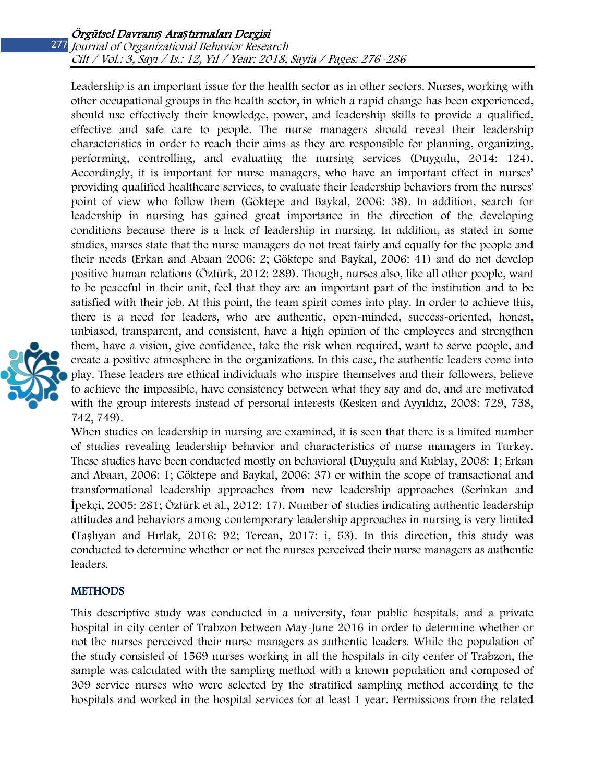Leadership is an important issue for the health sector as in other sectors. Nurses, working with other occupational groups in the health sector, in which a rapid change has been experienced, should use effectively their knowledge, power, and leadership skills to provide a qualified, effective and safe care to people. The nurse managers should reveal their leadership characteristics in order to reach their aims as they are responsible for planning, organizing, performing, controlling, and evaluating the nursing services (Duygulu, 2014: 124). Accordingly, it is important for nurse managers, who have an important effect in nurses' providing qualified healthcare services, to evaluate their leadership behaviors from the nurses' point of view who follow them (Göktepe and Baykal, 2006: 38). In addition, search for leadership in nursing has gained great importance in the direction of the developing conditions because there is a lack of leadership in nursing. In addition, as stated in some studies, nurses state that the nurse managers do not treat fairly and equally for the people and their needs (Erkan and Abaan 2006: 2; Göktepe and Baykal, 2006: 41) and do not develop positive human relations (Öztürk, 2012: 289). Though, nurses also, like all other people, want to be peaceful in their unit, feel that they are an important part of the institution and to be satisfied with their job. At this point, the team spirit comes into play. In order to achieve this, there is a need for leaders, who are authentic, open-minded, success-oriented, honest, unbiased, transparent, and consistent, have a high opinion of the employees and strengthen them, have a vision, give confidence, take the risk when required, want to serve people, and create a positive atmosphere in the organizations. In this case, the authentic leaders come into play. These leaders are ethical individuals who inspire themselves and their followers, believe to achieve the impossible, have consistency between what they say and do, and are motivated with the group interests instead of personal interests (Kesken and Ayyıldız, 2008: 729, 738, 742, 749).

When studies on leadership in nursing are examined, it is seen that there is a limited number of studies revealing leadership behavior and characteristics of nurse managers in Turkey. These studies have been conducted mostly on behavioral (Duygulu and Kublay, 2008: 1; Erkan and Abaan, 2006: 1; Göktepe and Baykal, 2006: 37) or within the scope of transactional and transformational leadership approaches from new leadership approaches (Serinkan and İpekçi, 2005: 281; Öztürk et al., 2012: 17). Number of studies indicating authentic leadership attitudes and behaviors among contemporary leadership approaches in nursing is very limited (Taşlıyan and Hırlak, 2016: 92; Tercan, 2017: i, 53). In this direction, this study was conducted to determine whether or not the nurses perceived their nurse managers as authentic leaders.

#### **METHODS**

This descriptive study was conducted in a university, four public hospitals, and a private hospital in city center of Trabzon between May-June 2016 in order to determine whether or not the nurses perceived their nurse managers as authentic leaders. While the population of the study consisted of 1569 nurses working in all the hospitals in city center of Trabzon, the sample was calculated with the sampling method with a known population and composed of 309 service nurses who were selected by the stratified sampling method according to the hospitals and worked in the hospital services for at least 1 year. Permissions from the related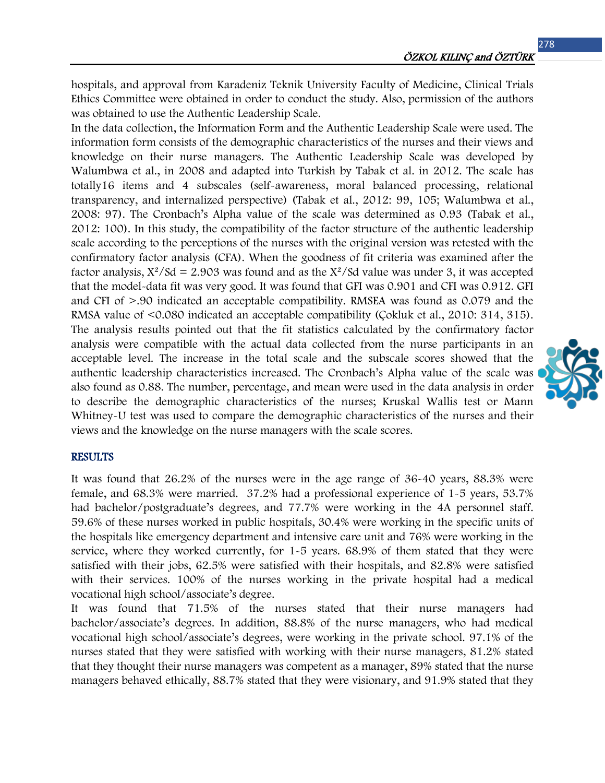hospitals, and approval from Karadeniz Teknik University Faculty of Medicine, Clinical Trials Ethics Committee were obtained in order to conduct the study. Also, permission of the authors was obtained to use the Authentic Leadership Scale.

In the data collection, the Information Form and the Authentic Leadership Scale were used. The information form consists of the demographic characteristics of the nurses and their views and knowledge on their nurse managers. The Authentic Leadership Scale was developed by Walumbwa et al., in 2008 and adapted into Turkish by Tabak et al. in 2012. The scale has totally16 items and 4 subscales (self-awareness, moral balanced processing, relational transparency, and internalized perspective) (Tabak et al., 2012: 99, 105; Walumbwa et al., 2008: 97). The Cronbach's Alpha value of the scale was determined as 0.93 (Tabak et al., 2012: 100). In this study, the compatibility of the factor structure of the authentic leadership scale according to the perceptions of the nurses with the original version was retested with the confirmatory factor analysis (CFA). When the goodness of fit criteria was examined after the factor analysis,  $X^2/Sd = 2.903$  was found and as the  $X^2/Sd$  value was under 3, it was accepted that the model-data fit was very good. It was found that GFI was 0.901 and CFI was 0.912. GFI and CFI of >.90 indicated an acceptable compatibility. RMSEA was found as 0.079 and the RMSA value of <0.080 indicated an acceptable compatibility (Çokluk et al., 2010: 314, 315). The analysis results pointed out that the fit statistics calculated by the confirmatory factor analysis were compatible with the actual data collected from the nurse participants in an acceptable level. The increase in the total scale and the subscale scores showed that the authentic leadership characteristics increased. The Cronbach's Alpha value of the scale was also found as 0.88. The number, percentage, and mean were used in the data analysis in order to describe the demographic characteristics of the nurses; Kruskal Wallis test or Mann Whitney-U test was used to compare the demographic characteristics of the nurses and their views and the knowledge on the nurse managers with the scale scores.

#### **RESULTS**

It was found that 26.2% of the nurses were in the age range of 36-40 years, 88.3% were female, and 68.3% were married. 37.2% had a professional experience of 1-5 years, 53.7% had bachelor/postgraduate's degrees, and 77.7% were working in the 4A personnel staff. 59.6% of these nurses worked in public hospitals, 30.4% were working in the specific units of the hospitals like emergency department and intensive care unit and 76% were working in the service, where they worked currently, for 1-5 years. 68.9% of them stated that they were satisfied with their jobs, 62.5% were satisfied with their hospitals, and 82.8% were satisfied with their services. 100% of the nurses working in the private hospital had a medical vocational high school/associate's degree.

It was found that 71.5% of the nurses stated that their nurse managers had bachelor/associate's degrees. In addition, 88.8% of the nurse managers, who had medical vocational high school/associate's degrees, were working in the private school. 97.1% of the nurses stated that they were satisfied with working with their nurse managers, 81.2% stated that they thought their nurse managers was competent as a manager, 89% stated that the nurse managers behaved ethically, 88.7% stated that they were visionary, and 91.9% stated that they

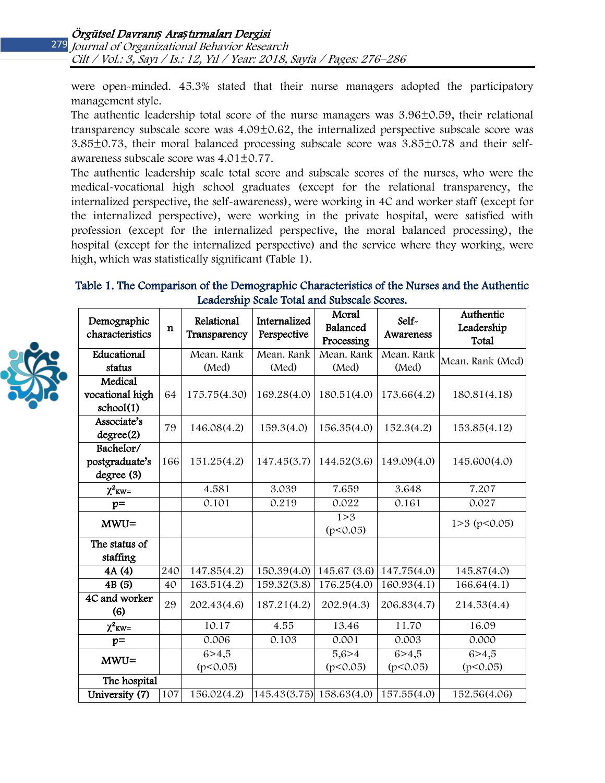279 Journal of Organizational Behavior Research Cilt / Vol.: 3, Sayı / Is.: 12, Yıl / Year: 2018, Sayfa / Pages: 276–286

were open-minded. 45.3% stated that their nurse managers adopted the participatory management style.

The authentic leadership total score of the nurse managers was 3.96±0.59, their relational transparency subscale score was  $4.09\pm0.62$ , the internalized perspective subscale score was 3.85±0.73, their moral balanced processing subscale score was 3.85±0.78 and their selfawareness subscale score was 4.01±0.77.

The authentic leadership scale total score and subscale scores of the nurses, who were the medical-vocational high school graduates (except for the relational transparency, the internalized perspective, the self-awareness), were working in 4C and worker staff (except for the internalized perspective), were working in the private hospital, were satisfied with profession (except for the internalized perspective, the moral balanced processing), the hospital (except for the internalized perspective) and the service where they working, were high, which was statistically significant (Table 1).

## Table 1. The Comparison of the Demographic Characteristics of the Nurses and the Authentic Leadership Scale Total and Subscale Scores.

| Demographic<br>characteristics | n   | Relational<br>Transparency | Internalized<br>Perspective | Moral<br>Balanced<br>Processing | Self-<br>Awareness | Authentic<br>Leadership<br>Total |
|--------------------------------|-----|----------------------------|-----------------------------|---------------------------------|--------------------|----------------------------------|
| Educational                    |     | Mean. Rank                 | Mean. Rank                  | Mean. Rank                      | Mean. Rank         | Mean. Rank (Med)                 |
| status                         |     | (Med)                      | (Med)                       | (Med)                           | (Med)              |                                  |
| Medical                        |     |                            |                             |                                 |                    |                                  |
| vocational high                | 64  | 175.75(4.30)               | 169.28(4.0)                 | 180.51(4.0)                     | 173.66(4.2)        | 180.81(4.18)                     |
| school(1)                      |     |                            |                             |                                 |                    |                                  |
| Associate's<br>degree(2)       | 79  | 146.08(4.2)                | 159.3(4.0)                  | 156.35(4.0)                     | 152.3(4.2)         | 153.85(4.12)                     |
| Bachelor/                      |     |                            |                             |                                 |                    |                                  |
| postgraduate's                 | 166 | 151.25(4.2)                | 147.45(3.7)                 | 144.52(3.6)                     | 149.09(4.0)        | 145.600(4.0)                     |
| degree (3)                     |     |                            |                             |                                 |                    |                                  |
| $\chi^2$ <sub>KW=</sub>        |     | 4.581                      | 3.039                       | 7.659                           | 3.648              | 7.207                            |
| $p=$                           |     | 0.101                      | 0.219                       | 0.022                           | 0.161              | 0.027                            |
| $MWU =$                        |     |                            |                             | 1 > 3                           |                    | $1>3$ (p<0.05)                   |
|                                |     |                            |                             | (p<0.05)                        |                    |                                  |
| The status of                  |     |                            |                             |                                 |                    |                                  |
| staffing                       |     |                            |                             |                                 |                    |                                  |
| 4A (4)                         | 240 | 147.85(4.2)                | 150.39(4.0)                 | 145.67(3.6)                     | 147.75(4.0)        | 145.87(4.0)                      |
| 4B(5)                          | 40  | $\overline{163.51(4.2)}$   | 159.32(3.8)                 | 176.25(4.0)                     | 160.93(4.1)        | 166.64(4.1)                      |
| 4C and worker<br>(6)           | 29  | 202.43(4.6)                | 187.21(4.2)                 | 202.9(4.3)                      | 206.83(4.7)        | 214.53(4.4)                      |
| $\chi^2$ <sub>KW</sub> =       |     | 10.17                      | 4.55                        | 13.46                           | 11.70              | 16.09                            |
| $p=$                           |     | 0.006                      | 0.103                       | 0.001                           | 0.003              | 0.000                            |
| $MWU =$                        |     | 6 > 4,5                    |                             | 5,6>4                           | 6 > 4,5            | 6 > 4,5                          |
|                                |     | (p<0.05)                   |                             | (p<0.05)                        | (p<0.05)           | (p<0.05)                         |
| The hospital                   |     |                            |                             |                                 |                    |                                  |
| University (7)                 | 107 | 156.02(4.2)                | 145.43(3.75) 158.63(4.0)    |                                 | 157.55(4.0)        | 152.56(4.06)                     |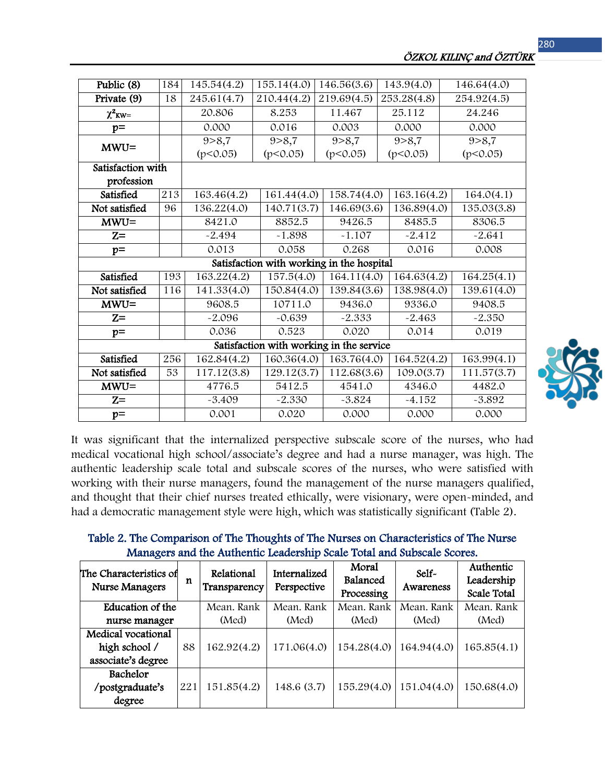| Public (8)                                | 184 | 145.54(4.2) | 155.14(4.0) | 146.56(3.6) | 143.9(4.0)  | 146.64(4.0) |  |  |  |
|-------------------------------------------|-----|-------------|-------------|-------------|-------------|-------------|--|--|--|
| Private (9)                               | 18  | 245.61(4.7) | 210.44(4.2) | 219.69(4.5) | 253.28(4.8) | 254.92(4.5) |  |  |  |
| $\chi^2$ <sub>KW</sub> =                  |     | 20.806      | 8.253       | 11.467      | 25.112      | 24.246      |  |  |  |
| $p=$                                      |     | 0.000       | 0.016       | 0.003       | 0.000       | 0.000       |  |  |  |
| $MWU =$                                   |     | 9 > 8,7     | 9 > 8,7     | 9 > 8,7     | 9 > 8,7     | 9 > 8,7     |  |  |  |
|                                           |     | (p<0.05)    | (p<0.05)    | (p<0.05)    | (p<0.05)    | (p<0.05)    |  |  |  |
| Satisfaction with                         |     |             |             |             |             |             |  |  |  |
| profession                                |     |             |             |             |             |             |  |  |  |
| Satisfied                                 | 213 | 163.46(4.2) | 161.44(4.0) | 158.74(4.0) | 163.16(4.2) | 164.0(4.1)  |  |  |  |
| Not satisfied                             | 96  | 136.22(4.0) | 140.71(3.7) | 146.69(3.6) | 136.89(4.0) | 135.03(3.8) |  |  |  |
| $MWU =$                                   |     | 8421.0      | 8852.5      | 9426.5      | 8485.5      | 8306.5      |  |  |  |
| $Z =$                                     |     | $-2.494$    | $-1.898$    | $-1.107$    | $-2.412$    | $-2.641$    |  |  |  |
| $p=$                                      |     | 0.013       | 0.058       | 0.268       | 0.016       | 0.008       |  |  |  |
| Satisfaction with working in the hospital |     |             |             |             |             |             |  |  |  |
| Satisfied                                 | 193 | 163.22(4.2) | 157.5(4.0)  | 164.11(4.0) | 164.63(4.2) | 164.25(4.1) |  |  |  |
| Not satisfied                             | 116 | 141.33(4.0) | 150.84(4.0) | 139.84(3.6) | 138.98(4.0) | 139.61(4.0) |  |  |  |
| $MWU =$                                   |     | 9608.5      | 10711.0     | 9436.0      | 9336.0      | 9408.5      |  |  |  |
| $Z =$                                     |     | $-2.096$    | $-0.639$    | $-2.333$    | $-2.463$    | $-2.350$    |  |  |  |
| $p=$                                      |     | 0.036       | 0.523       | 0.020       | 0.014       | 0.019       |  |  |  |
| Satisfaction with working in the service  |     |             |             |             |             |             |  |  |  |
| Satisfied                                 | 256 | 162.84(4.2) | 160.36(4.0) | 163.76(4.0) | 164.52(4.2) | 163.99(4.1) |  |  |  |
| Not satisfied                             | 53  | 117.12(3.8) | 129.12(3.7) | 112.68(3.6) | 109.0(3.7)  | 111.57(3.7) |  |  |  |
| $MWU =$                                   |     | 4776.5      | 5412.5      | 4541.0      | 4346.0      | 4482.0      |  |  |  |
| $Z =$                                     |     | $-3.409$    | $-2.330$    | $-3.824$    | $-4.152$    | $-3.892$    |  |  |  |
| $p=$                                      |     | 0.001       | 0.020       | 0.000       | 0.000       | 0.000       |  |  |  |
|                                           |     |             |             |             |             |             |  |  |  |



It was significant that the internalized perspective subscale score of the nurses, who had medical vocational high school/associate's degree and had a nurse manager, was high. The authentic leadership scale total and subscale scores of the nurses, who were satisfied with working with their nurse managers, found the management of the nurse managers qualified, and thought that their chief nurses treated ethically, were visionary, were open-minded, and had a democratic management style were high, which was statistically significant (Table 2).

Table 2. The Comparison of The Thoughts of The Nurses on Characteristics of The Nurse Managers and the Authentic Leadership Scale Total and Subscale Scores.

| The Characteristics of<br><b>Nurse Managers</b> | n   | Relational<br>Transparency | Internalized<br>Perspective | Moral<br>Balanced<br>Processing | Self-<br>Awareness | Authentic<br>Leadership<br>Scale Total |
|-------------------------------------------------|-----|----------------------------|-----------------------------|---------------------------------|--------------------|----------------------------------------|
| Education of the                                |     | Mean. Rank                 | Mean. Rank                  | Mean. Rank                      | Mean. Rank         | Mean. Rank                             |
| nurse manager                                   |     | (Med)                      | (Med)                       | (Med)                           | (Med)              | (Med)                                  |
| Medical vocational                              |     |                            |                             |                                 |                    |                                        |
| high school /                                   | 88  | 162.92(4.2)                | 171.06(4.0)                 | 154.28(4.0)                     | 164.94(4.0)        | 165.85(4.1)                            |
| associate's degree                              |     |                            |                             |                                 |                    |                                        |
| Bachelor                                        |     |                            |                             |                                 |                    |                                        |
| /postgraduate's                                 | 221 | 151.85(4.2)                | 148.6 (3.7)                 | 155.29(4.0)                     | 151.04(4.0)        | 150.68(4.0)                            |
| degree                                          |     |                            |                             |                                 |                    |                                        |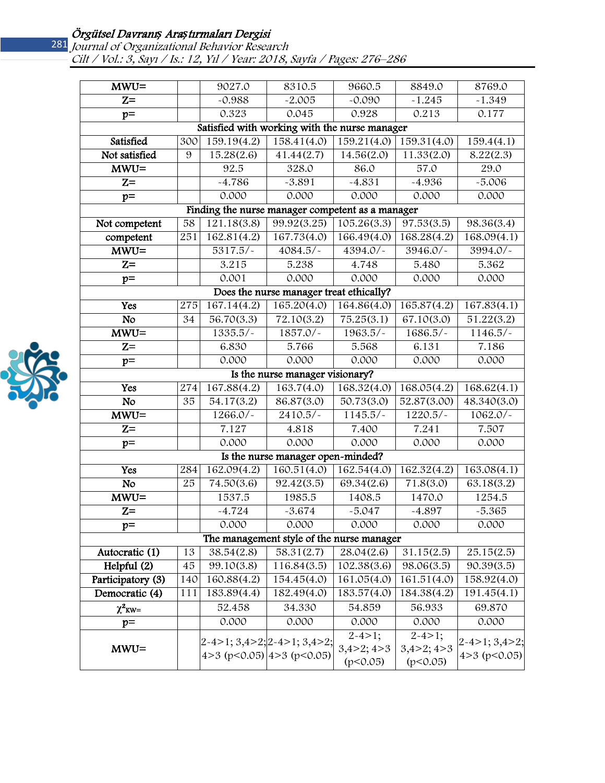# 281

### Örgütsel Davranı*ş* Ara*ş*tırmaları Dergisi

Journal of Organizational Behavior Research Cilt / Vol.: 3, Sayı / Is.: 12, Yıl / Year: 2018, Sayfa / Pages: 276–286

| $MWU =$                                       |                  | 9027.0                                                        | 8310.5                                  | 9660.5                                      | 8849.0                                      | 8769.0                                       |  |  |
|-----------------------------------------------|------------------|---------------------------------------------------------------|-----------------------------------------|---------------------------------------------|---------------------------------------------|----------------------------------------------|--|--|
| $Z =$                                         |                  | $-0.988$                                                      | $-2.005$                                | $-0.090$                                    | $-1.245$                                    | $-1.349$                                     |  |  |
| $p=$                                          |                  | 0.323                                                         | 0.045                                   | 0.928                                       | 0.213                                       | 0.177                                        |  |  |
| Satisfied with working with the nurse manager |                  |                                                               |                                         |                                             |                                             |                                              |  |  |
| Satisfied                                     | 300              | 159.19(4.2)                                                   | 158.41(4.0)                             | 159.21(4.0)                                 | 159.31(4.0)                                 | 159.4(4.1)                                   |  |  |
| Not satisfied                                 | 9                | 15.28(2.6)                                                    | 41.44(2.7)                              | 14.56(2.0)                                  | 11.33(2.0)                                  | 8.22(2.3)                                    |  |  |
| $MWU =$                                       |                  | 92.5                                                          | 328.0                                   | 86.0                                        | $\overline{57.0}$                           | 29.0                                         |  |  |
| $Z =$                                         |                  | $-4.786$                                                      | $-3.891$                                | $-4.831$                                    | $-4.936$                                    | $-5.006$                                     |  |  |
| $p=$                                          |                  | 0.000                                                         | 0.000                                   | 0.000                                       | 0.000                                       | 0.000                                        |  |  |
|                                               |                  | Finding the nurse manager competent as a manager              |                                         |                                             |                                             |                                              |  |  |
| Not competent                                 | 58               | 121.18(3.8)                                                   | 99.92(3.25)                             | 105.26(3.3)                                 | 97.53(3.5)                                  | 98.36(3.4)                                   |  |  |
| competent                                     | 251              | 162.81(4.2)                                                   | 167.73(4.0)                             | 166.49(4.0)                                 | 168.28(4.2)                                 | 168.09(4.1)                                  |  |  |
| $MWU =$                                       |                  | $\overline{5317.5}/$                                          | 4084.5/-                                | 4394.0/-                                    | 3946.0/~                                    | 3994.0/~                                     |  |  |
| $\overline{z}$                                |                  | 3.215                                                         | 5.238                                   | 4.748                                       | 5.480                                       | 5.362                                        |  |  |
| $p=$                                          |                  | 0.001                                                         | 0.000                                   | 0.000                                       | 0.000                                       | 0.000                                        |  |  |
|                                               |                  |                                                               | Does the nurse manager treat ethically? |                                             |                                             |                                              |  |  |
| Yes                                           | $\overline{2}75$ | 167.14(4.2)                                                   | 165.20(4.0)                             | 164.86(4.0)                                 | 165.87(4.2)                                 | 167.83(4.1)                                  |  |  |
| No                                            | 34               | 56.70(3.3)                                                    | 72.10(3.2)                              | 75.25(3.1)                                  | 67.10(3.0)                                  | 51.22(3.2)                                   |  |  |
| $MWU =$                                       |                  | 1335.5/~                                                      | 1857.0/-                                | 1963.5/-                                    | 1686.5/~                                    | 1146.5/                                      |  |  |
| $\overline{z}$ =                              |                  | 6.830                                                         | 5.766                                   | 5.568                                       | 6.131                                       | 7.186                                        |  |  |
| $p=$                                          |                  | 0.000                                                         | 0.000                                   | 0.000                                       | 0.000                                       | 0.000                                        |  |  |
|                                               |                  |                                                               | Is the nurse manager visionary?         |                                             |                                             |                                              |  |  |
| Yes                                           | 274              | 167.88(4.2)                                                   | 163.7(4.0)                              | 168.32(4.0)                                 | 168.05(4.2)                                 | 168.62(4.1)                                  |  |  |
| No                                            | 35               | $\overline{54.17(3.2)}$                                       | 86.87(3.0)                              | 50.73(3.0)                                  | 52.87(3.00)                                 | 48.340(3.0)                                  |  |  |
| $MWU =$                                       |                  | 1266.0/-                                                      | $2410.5/-$                              | $1145.5/-$                                  | $1220.5/-$                                  | 1062.0/-                                     |  |  |
| $\overline{z}$ =                              |                  | 7.127                                                         | 4.818                                   | 7.400                                       | 7.241                                       | 7.507                                        |  |  |
| $p=$                                          |                  | 0.000                                                         | 0.000                                   | 0.000                                       | 0.000                                       | 0.000                                        |  |  |
| Is the nurse manager open-minded?             |                  |                                                               |                                         |                                             |                                             |                                              |  |  |
| Yes                                           | 284              | 162.09(4.2)                                                   | 160.51(4.0)                             | 162.54(4.0)                                 | 162.32(4.2)                                 | 163.08(4.1)                                  |  |  |
| $\overline{N}$                                | 25               | 74.50(3.6)                                                    | 92.42(3.5)                              | 69.34(2.6)                                  | 71.8(3.0)                                   | 63.18(3.2)                                   |  |  |
| $MWU =$                                       |                  | 1537.5                                                        | 1985.5                                  | 1408.5                                      | 1470.0                                      | 1254.5                                       |  |  |
| $Z =$                                         |                  | $-4.724$                                                      | $-3.674$                                | $-5.047$                                    | $-4.897$                                    | $-5.365$                                     |  |  |
| $p=$                                          |                  | 0.000                                                         | 0.000                                   | 0.000                                       | 0.000                                       | 0.000                                        |  |  |
| The management style of the nurse manager     |                  |                                                               |                                         |                                             |                                             |                                              |  |  |
| Autocratic (1)                                | 13               | 38.54(2.8)                                                    | 58.31(2.7)                              | 28.04(2.6)                                  | 31.15(2.5)                                  | 25.15(2.5)                                   |  |  |
| Helpful (2)                                   | 45               | 99.10(3.8)                                                    | 116.84(3.5)                             | 102.38(3.6)                                 | 98.06(3.5)                                  | 90.39(3.5)                                   |  |  |
| Participatory (3)                             | 140              | 160.88(4.2)                                                   | 154.45(4.0)                             | 161.05(4.0)                                 | 161.51(4.0)                                 | 158.92(4.0)                                  |  |  |
| Democratic (4)                                | 111              | 183.89(4.4)                                                   | 182.49(4.0)                             | 183.57(4.0)                                 | 184.38(4.2)                                 | 191.45(4.1)                                  |  |  |
| $\chi^2$ <sub>KW=</sub>                       |                  | 52.458                                                        | 34.330                                  | 54.859                                      | 56.933                                      | 69.870                                       |  |  |
| $p=$                                          |                  | 0.000                                                         | 0.000                                   | 0.000                                       | 0.000                                       | 0.000                                        |  |  |
| $MWU =$                                       |                  | $2-4>1; 3,4>2; 2-4>1; 3,4>2;$<br>4>3 (p<0.05) $ 4>3$ (p<0.05) |                                         | $2 - 4 > 1;$<br>$3,4>2$ ; $4>3$<br>(p<0.05) | $2 - 4 > 1;$<br>$3,4>2$ ; $4>3$<br>(p<0.05) | $2 - 4 > 1$ ; 3,4 > 2;<br>$4 > 3$ (p < 0.05) |  |  |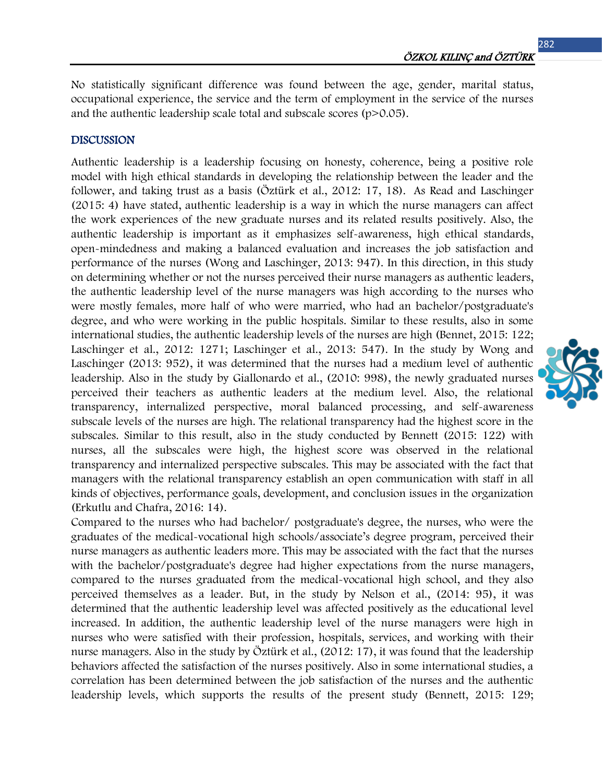No statistically significant difference was found between the age, gender, marital status, occupational experience, the service and the term of employment in the service of the nurses and the authentic leadership scale total and subscale scores  $(p>0.05)$ .

#### DISCUSSION

Authentic leadership is a leadership focusing on honesty, coherence, being a positive role model with high ethical standards in developing the relationship between the leader and the follower, and taking trust as a basis (Öztürk et al., 2012: 17, 18). As Read and Laschinger (2015: 4) have stated, authentic leadership is a way in which the nurse managers can affect the work experiences of the new graduate nurses and its related results positively. Also, the authentic leadership is important as it emphasizes self-awareness, high ethical standards, open-mindedness and making a balanced evaluation and increases the job satisfaction and performance of the nurses (Wong and Laschinger, 2013: 947). In this direction, in this study on determining whether or not the nurses perceived their nurse managers as authentic leaders, the authentic leadership level of the nurse managers was high according to the nurses who were mostly females, more half of who were married, who had an bachelor/postgraduate's degree, and who were working in the public hospitals. Similar to these results, also in some international studies, the authentic leadership levels of the nurses are high (Bennet, 2015: 122; Laschinger et al., 2012: 1271; Laschinger et al., 2013: 547). In the study by Wong and Laschinger (2013: 952), it was determined that the nurses had a medium level of authentic leadership. Also in the study by Giallonardo et al., (2010: 998), the newly graduated nurses perceived their teachers as authentic leaders at the medium level. Also, the relational transparency, internalized perspective, moral balanced processing, and self-awareness subscale levels of the nurses are high. The relational transparency had the highest score in the subscales. Similar to this result, also in the study conducted by Bennett (2015: 122) with nurses, all the subscales were high, the highest score was observed in the relational transparency and internalized perspective subscales. This may be associated with the fact that managers with the relational transparency establish an open communication with staff in all kinds of objectives, performance goals, development, and conclusion issues in the organization (Erkutlu and Chafra, 2016: 14).

Compared to the nurses who had bachelor/ postgraduate's degree, the nurses, who were the graduates of the medical-vocational high schools/associate's degree program, perceived their nurse managers as authentic leaders more. This may be associated with the fact that the nurses with the bachelor/postgraduate's degree had higher expectations from the nurse managers, compared to the nurses graduated from the medical-vocational high school, and they also perceived themselves as a leader. But, in the study by Nelson et al., (2014: 95), it was determined that the authentic leadership level was affected positively as the educational level increased. In addition, the authentic leadership level of the nurse managers were high in nurses who were satisfied with their profession, hospitals, services, and working with their nurse managers. Also in the study by Öztürk et al., (2012: 17), it was found that the leadership behaviors affected the satisfaction of the nurses positively. Also in some international studies, a correlation has been determined between the job satisfaction of the nurses and the authentic leadership levels, which supports the results of the present study (Bennett, 2015: 129;

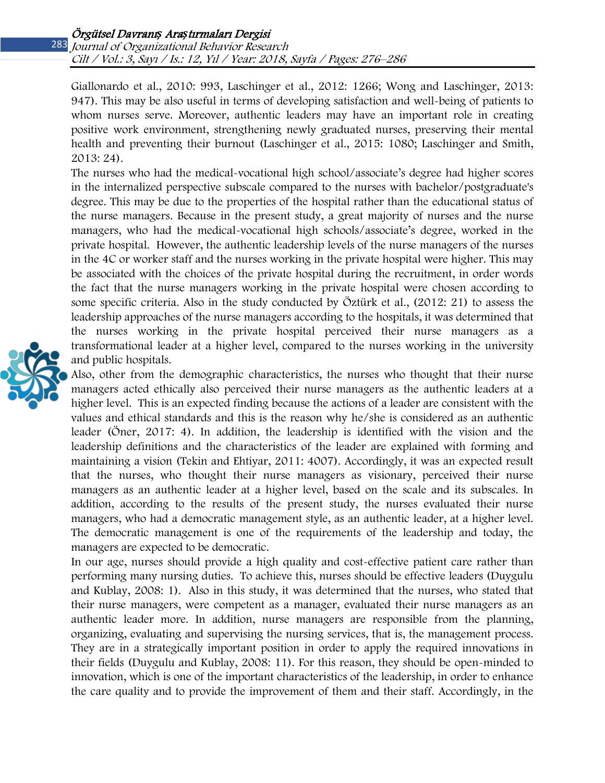Giallonardo et al., 2010: 993, Laschinger et al., 2012: 1266; Wong and Laschinger, 2013: 947). This may be also useful in terms of developing satisfaction and well-being of patients to whom nurses serve. Moreover, authentic leaders may have an important role in creating positive work environment, strengthening newly graduated nurses, preserving their mental health and preventing their burnout (Laschinger et al., 2015: 1080; Laschinger and Smith, 2013: 24).

The nurses who had the medical-vocational high school/associate's degree had higher scores in the internalized perspective subscale compared to the nurses with bachelor/postgraduate's degree. This may be due to the properties of the hospital rather than the educational status of the nurse managers. Because in the present study, a great majority of nurses and the nurse managers, who had the medical-vocational high schools/associate's degree, worked in the private hospital. However, the authentic leadership levels of the nurse managers of the nurses in the 4C or worker staff and the nurses working in the private hospital were higher. This may be associated with the choices of the private hospital during the recruitment, in order words the fact that the nurse managers working in the private hospital were chosen according to some specific criteria. Also in the study conducted by Öztürk et al., (2012: 21) to assess the leadership approaches of the nurse managers according to the hospitals, it was determined that the nurses working in the private hospital perceived their nurse managers as a transformational leader at a higher level, compared to the nurses working in the university and public hospitals.



Also, other from the demographic characteristics, the nurses who thought that their nurse managers acted ethically also perceived their nurse managers as the authentic leaders at a higher level. This is an expected finding because the actions of a leader are consistent with the values and ethical standards and this is the reason why he/she is considered as an authentic leader (Öner, 2017: 4). In addition, the leadership is identified with the vision and the leadership definitions and the characteristics of the leader are explained with forming and maintaining a vision (Tekin and Ehtiyar, 2011: 4007). Accordingly, it was an expected result that the nurses, who thought their nurse managers as visionary, perceived their nurse managers as an authentic leader at a higher level, based on the scale and its subscales. In addition, according to the results of the present study, the nurses evaluated their nurse managers, who had a democratic management style, as an authentic leader, at a higher level. The democratic management is one of the requirements of the leadership and today, the managers are expected to be democratic.

In our age, nurses should provide a high quality and cost-effective patient care rather than performing many nursing duties. To achieve this, nurses should be effective leaders (Duygulu and Kublay, 2008: 1). Also in this study, it was determined that the nurses, who stated that their nurse managers, were competent as a manager, evaluated their nurse managers as an authentic leader more. In addition, nurse managers are responsible from the planning, organizing, evaluating and supervising the nursing services, that is, the management process. They are in a strategically important position in order to apply the required innovations in their fields (Duygulu and Kublay, 2008: 11). For this reason, they should be open-minded to innovation, which is one of the important characteristics of the leadership, in order to enhance the care quality and to provide the improvement of them and their staff. Accordingly, in the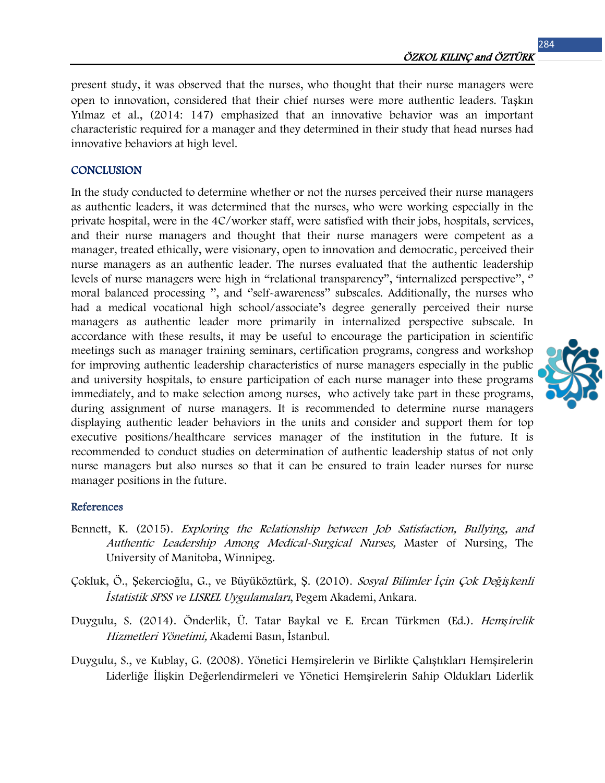present study, it was observed that the nurses, who thought that their nurse managers were open to innovation, considered that their chief nurses were more authentic leaders. Taşkın Yılmaz et al., (2014: 147) emphasized that an innovative behavior was an important characteristic required for a manager and they determined in their study that head nurses had innovative behaviors at high level.

#### **CONCLUSION**

In the study conducted to determine whether or not the nurses perceived their nurse managers as authentic leaders, it was determined that the nurses, who were working especially in the private hospital, were in the 4C/worker staff, were satisfied with their jobs, hospitals, services, and their nurse managers and thought that their nurse managers were competent as a manager, treated ethically, were visionary, open to innovation and democratic, perceived their nurse managers as an authentic leader. The nurses evaluated that the authentic leadership levels of nurse managers were high in "relational transparency", "internalized perspective", " moral balanced processing '', and ''self-awareness'' subscales. Additionally, the nurses who had a medical vocational high school/associate's degree generally perceived their nurse managers as authentic leader more primarily in internalized perspective subscale. In accordance with these results, it may be useful to encourage the participation in scientific meetings such as manager training seminars, certification programs, congress and workshop for improving authentic leadership characteristics of nurse managers especially in the public and university hospitals, to ensure participation of each nurse manager into these programs immediately, and to make selection among nurses, who actively take part in these programs, during assignment of nurse managers. It is recommended to determine nurse managers displaying authentic leader behaviors in the units and consider and support them for top executive positions/healthcare services manager of the institution in the future. It is recommended to conduct studies on determination of authentic leadership status of not only nurse managers but also nurses so that it can be ensured to train leader nurses for nurse manager positions in the future.

#### References

- Bennett, K. (2015). Exploring the Relationship between Job Satisfaction, Bullying, and Authentic Leadership Among Medical-Surgical Nurses, Master of Nursing, The University of Manitoba, Winnipeg.
- Çokluk, Ö., Şekercioğlu, G., ve Büyüköztürk, Ş. (2010). Sosyal Bilimler *İ*çin Çok De*ğ*i*ş*kenli *İ*statistik SPSS ve LISREL Uygulamaları, Pegem Akademi, Ankara.
- Duygulu, S. (2014). Önderlik, Ü. Tatar Baykal ve E. Ercan Türkmen (Ed.). Hem*ş*irelik Hizmetleri Yönetimi, Akademi Basın, İstanbul.
- Duygulu, S., ve Kublay, G. (2008). Yönetici Hemşirelerin ve Birlikte Çalıştıkları Hemşirelerin Liderliğe İlişkin Değerlendirmeleri ve Yönetici Hemşirelerin Sahip Oldukları Liderlik

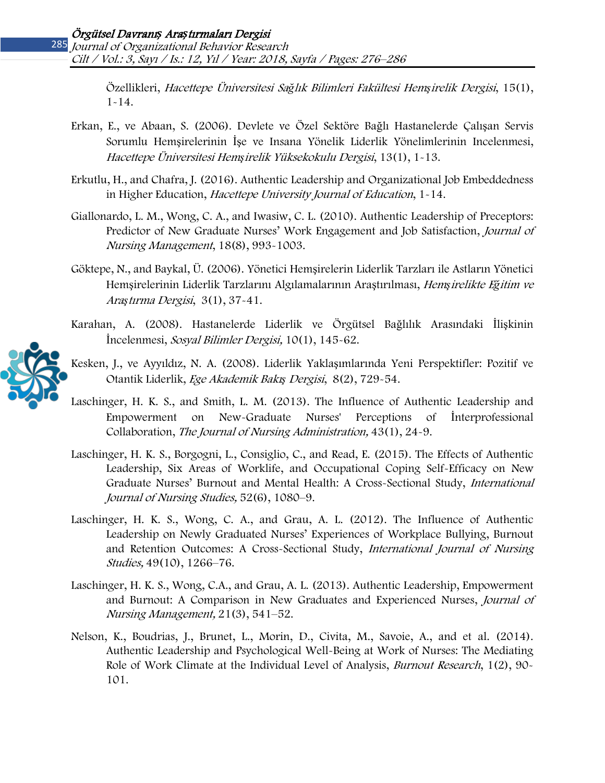Özellikleri, Hacettepe Üniversitesi Sa*ğ*lık Bilimleri Fakültesi Hem*ş*irelik Dergisi, 15(1), 1-14.

- Erkan, E., ve Abaan, S. (2006). Devlete ve Özel Sektöre Bağlı Hastanelerde Çalışan Servis Sorumlu Hemşirelerinin İşe ve Insana Yönelik Liderlik Yönelimlerinin Incelenmesi, Hacettepe Üniversitesi Hem*ş*irelik Yüksekokulu Dergisi, 13(1), 1-13.
- Erkutlu, H., and Chafra, J. (2016). Authentic Leadership and Organizational Job Embeddedness in Higher Education, Hacettepe University Journal of Education, 1-14.
- Giallonardo, L. M., Wong, C. A., and Iwasiw, C. L. (2010). Authentic Leadership of Preceptors: Predictor of New Graduate Nurses' Work Engagement and Job Satisfaction, Journal of Nursing Management, 18(8), 993-1003.
- Göktepe, N., and Baykal, Ü. (2006). Yönetici Hemşirelerin Liderlik Tarzları ile Astların Yönetici Hemşirelerinin Liderlik Tarzlarını Algılamalarının Araştırılması, Hem*ş*irelikte E*ğ*itim ve Ara*ş*tırma Dergisi, 3(1), 37-41.
- Karahan, A. (2008). Hastanelerde Liderlik ve Örgütsel Bağlılık Arasındaki İlişkinin İncelenmesi, Sosyal Bilimler Dergisi, 10(1), 145-62.
- Kesken, J., ve Ayyıldız, N. A. (2008). Liderlik Yaklaşımlarında Yeni Perspektifler: Pozitif ve Otantik Liderlik, Ege Akademik Bakı*ş* Dergisi, 8(2), 729-54.
- Laschinger, H. K. S., and Smith, L. M. (2013). The Influence of Authentic Leadership and Empowerment on New-Graduate Nurses' Perceptions of İnterprofessional Collaboration, The Journal of Nursing Administration, 43(1), 24-9.
- Laschinger, H. K. S., Borgogni, L., Consiglio, C., and Read, E. (2015). The Effects of Authentic Leadership, Six Areas of Worklife, and Occupational Coping Self-Efficacy on New Graduate Nurses' Burnout and Mental Health: A Cross-Sectional Study, International Journal of Nursing Studies, 52(6), 1080–9.
- Laschinger, H. K. S., Wong, C. A., and Grau, A. L. (2012). The Influence of Authentic Leadership on Newly Graduated Nurses' Experiences of Workplace Bullying, Burnout and Retention Outcomes: A Cross-Sectional Study, International Journal of Nursing Studies, 49(10), 1266–76.
- Laschinger, H. K. S., Wong, C.A., and Grau, A. L. (2013). Authentic Leadership, Empowerment and Burnout: A Comparison in New Graduates and Experienced Nurses, Journal of Nursing Management, 21(3), 541–52.
- Nelson, K., Boudrias, J., Brunet, L., Morin, D., Civita, M., Savoie, A., and et al. (2014). Authentic Leadership and Psychological Well-Being at Work of Nurses: The Mediating Role of Work Climate at the Individual Level of Analysis, *Burnout Research*, 1(2), 90-101.